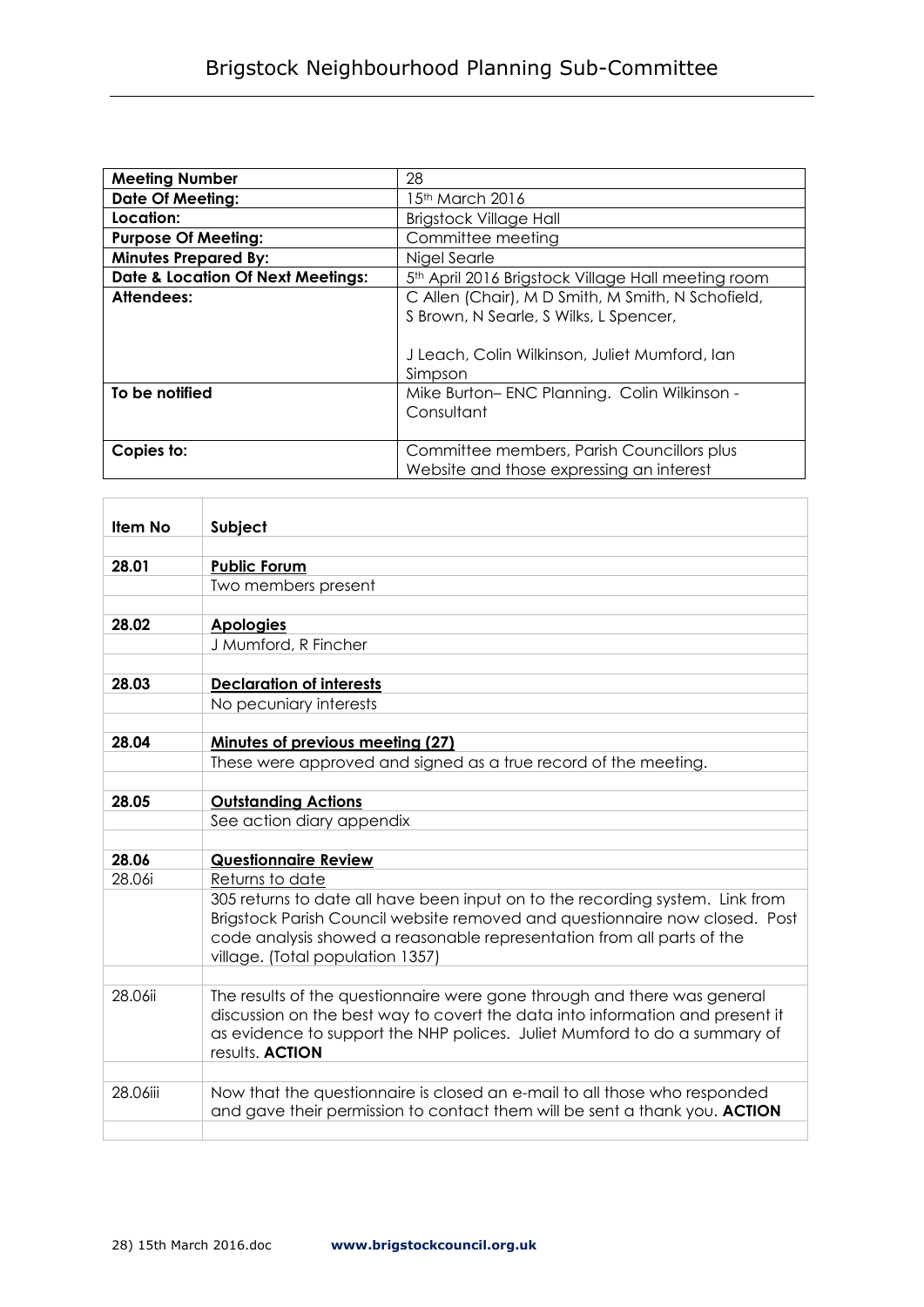| <b>Meeting Number</b>                        | 28                                                             |
|----------------------------------------------|----------------------------------------------------------------|
| <b>Date Of Meeting:</b>                      | 15th March 2016                                                |
| Location:                                    | <b>Brigstock Village Hall</b>                                  |
| <b>Purpose Of Meeting:</b>                   | Committee meeting                                              |
| <b>Minutes Prepared By:</b>                  | Nigel Searle                                                   |
| <b>Date &amp; Location Of Next Meetings:</b> | 5 <sup>th</sup> April 2016 Brigstock Village Hall meeting room |
| Attendees:                                   | C Allen (Chair), M D Smith, M Smith, N Schofield,              |
|                                              | S Brown, N Searle, S Wilks, L Spencer,                         |
|                                              |                                                                |
|                                              | J Leach, Colin Wilkinson, Juliet Mumford, Ian                  |
|                                              | Simpson                                                        |
| To be notified                               | Mike Burton-ENC Planning. Colin Wilkinson -                    |
|                                              | Consultant                                                     |
|                                              |                                                                |
| Copies to:                                   | Committee members, Parish Councillors plus                     |
|                                              | Website and those expressing an interest                       |

| <b>Item No</b> | Subject                                                                       |
|----------------|-------------------------------------------------------------------------------|
|                |                                                                               |
| 28.01          | <b>Public Forum</b>                                                           |
|                | Two members present                                                           |
|                |                                                                               |
| 28.02          | <b>Apologies</b>                                                              |
|                | J Mumford, R Fincher                                                          |
|                |                                                                               |
| 28.03          | <b>Declaration of interests</b>                                               |
|                | No pecuniary interests                                                        |
|                |                                                                               |
| 28.04          | Minutes of previous meeting (27)                                              |
|                | These were approved and signed as a true record of the meeting.               |
|                |                                                                               |
| 28.05          | <b>Outstanding Actions</b>                                                    |
|                | See action diary appendix                                                     |
| 28.06          | <b>Questionnaire Review</b>                                                   |
| 28.06i         | Returns to date                                                               |
|                | 305 returns to date all have been input on to the recording system. Link from |
|                | Brigstock Parish Council website removed and questionnaire now closed. Post   |
|                | code analysis showed a reasonable representation from all parts of the        |
|                | village. (Total population 1357)                                              |
|                |                                                                               |
| 28.06ii        | The results of the questionnaire were gone through and there was general      |
|                | discussion on the best way to covert the data into information and present it |
|                | as evidence to support the NHP polices. Juliet Mumford to do a summary of     |
|                | results. <b>ACTION</b>                                                        |
|                |                                                                               |
| 28.06iii       | Now that the questionnaire is closed an e-mail to all those who responded     |
|                | and gave their permission to contact them will be sent a thank you. ACTION    |
|                |                                                                               |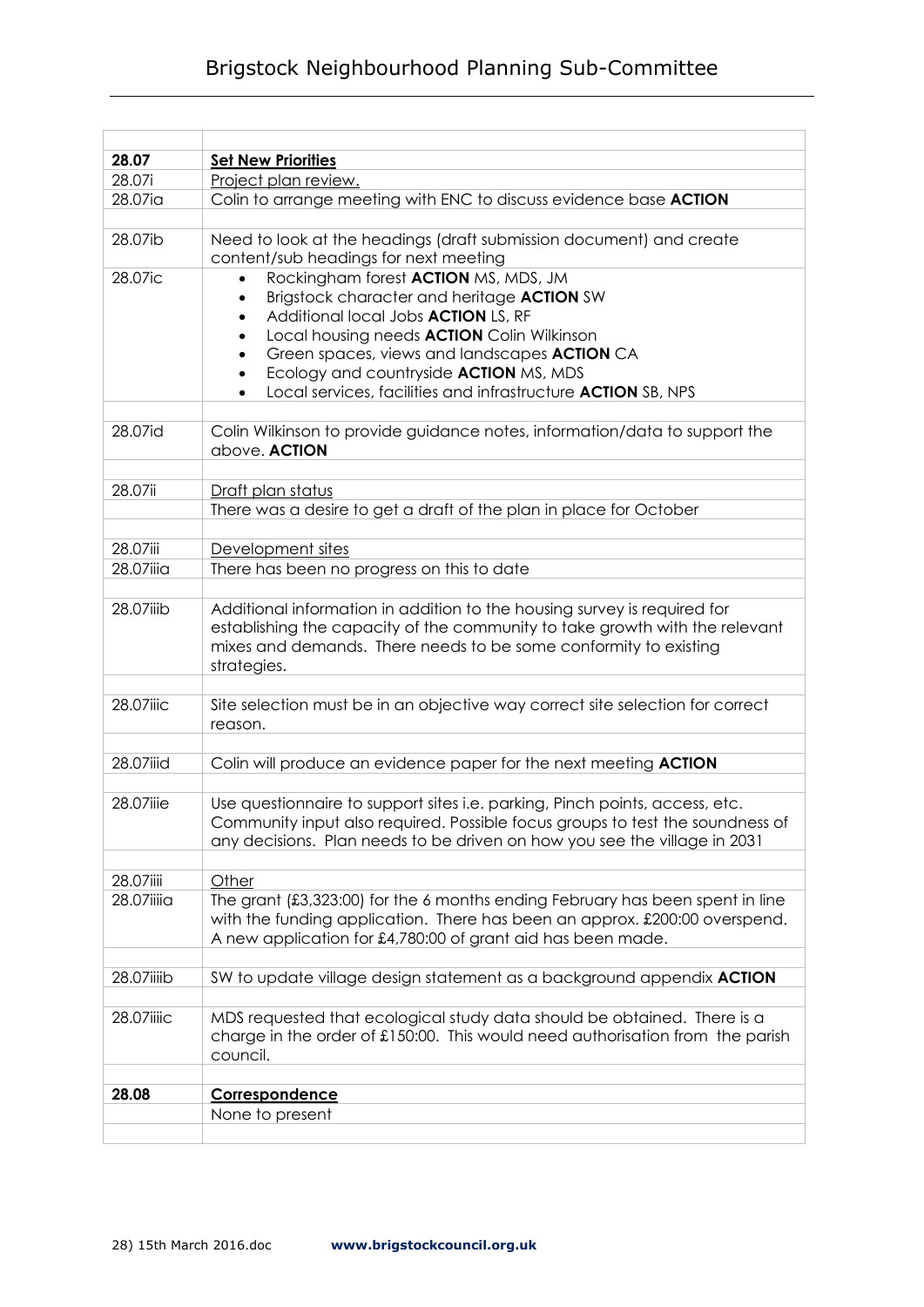## Brigstock Neighbourhood Planning Sub-Committee

| 28.07      | <b>Set New Priorities</b>                                                                                                                                   |
|------------|-------------------------------------------------------------------------------------------------------------------------------------------------------------|
| 28.07i     | Project plan review.                                                                                                                                        |
| 28.07ia    | Colin to arrange meeting with ENC to discuss evidence base ACTION                                                                                           |
| 28.07ib    | Need to look at the headings (draft submission document) and create                                                                                         |
|            | content/sub headings for next meeting                                                                                                                       |
| 28.07ic    | Rockingham forest ACTION MS, MDS, JM                                                                                                                        |
|            | Brigstock character and heritage ACTION SW                                                                                                                  |
|            | Additional local Jobs <b>ACTION</b> LS, RF                                                                                                                  |
|            | Local housing needs <b>ACTION</b> Colin Wilkinson                                                                                                           |
|            | Green spaces, views and landscapes ACTION CA                                                                                                                |
|            | Ecology and countryside ACTION MS, MDS                                                                                                                      |
|            | Local services, facilities and infrastructure <b>ACTION</b> SB, NPS                                                                                         |
| 28.07id    | Colin Wilkinson to provide guidance notes, information/data to support the                                                                                  |
|            | above. ACTION                                                                                                                                               |
|            |                                                                                                                                                             |
| 28.07ii    | Draft plan status                                                                                                                                           |
|            | There was a desire to get a draft of the plan in place for October                                                                                          |
|            |                                                                                                                                                             |
| 28.07iii   | Development sites                                                                                                                                           |
| 28.07iiia  | There has been no progress on this to date                                                                                                                  |
|            |                                                                                                                                                             |
| 28.07iiib  | Additional information in addition to the housing survey is required for                                                                                    |
|            | establishing the capacity of the community to take growth with the relevant                                                                                 |
|            | mixes and demands. There needs to be some conformity to existing                                                                                            |
|            | strategies.                                                                                                                                                 |
| 28.07iiic  | Site selection must be in an objective way correct site selection for correct                                                                               |
|            | reason.                                                                                                                                                     |
|            |                                                                                                                                                             |
| 28.07iiid  | Colin will produce an evidence paper for the next meeting ACTION                                                                                            |
|            |                                                                                                                                                             |
| 28.07iiie  | Use questionnaire to support sites i.e. parking, Pinch points, access, etc.                                                                                 |
|            | Community input also required. Possible focus aroups to test the soundness of                                                                               |
|            | any decisions. Plan needs to be driven on how you see the village in 2031                                                                                   |
|            |                                                                                                                                                             |
| 28.07iiii  | Other                                                                                                                                                       |
| 28.07iiiia | The grant (£3,323:00) for the 6 months ending February has been spent in line<br>with the funding application. There has been an approx. £200:00 overspend. |
|            | A new application for £4,780:00 of grant aid has been made.                                                                                                 |
|            |                                                                                                                                                             |
| 28.07iiiib | SW to update village design statement as a background appendix ACTION                                                                                       |
|            |                                                                                                                                                             |
| 28.07iiiic | MDS requested that ecological study data should be obtained. There is a                                                                                     |
|            | charge in the order of $£150:00$ . This would need authorisation from the parish                                                                            |
|            | council.                                                                                                                                                    |
|            |                                                                                                                                                             |
| 28.08      | Correspondence                                                                                                                                              |
|            | None to present                                                                                                                                             |
|            |                                                                                                                                                             |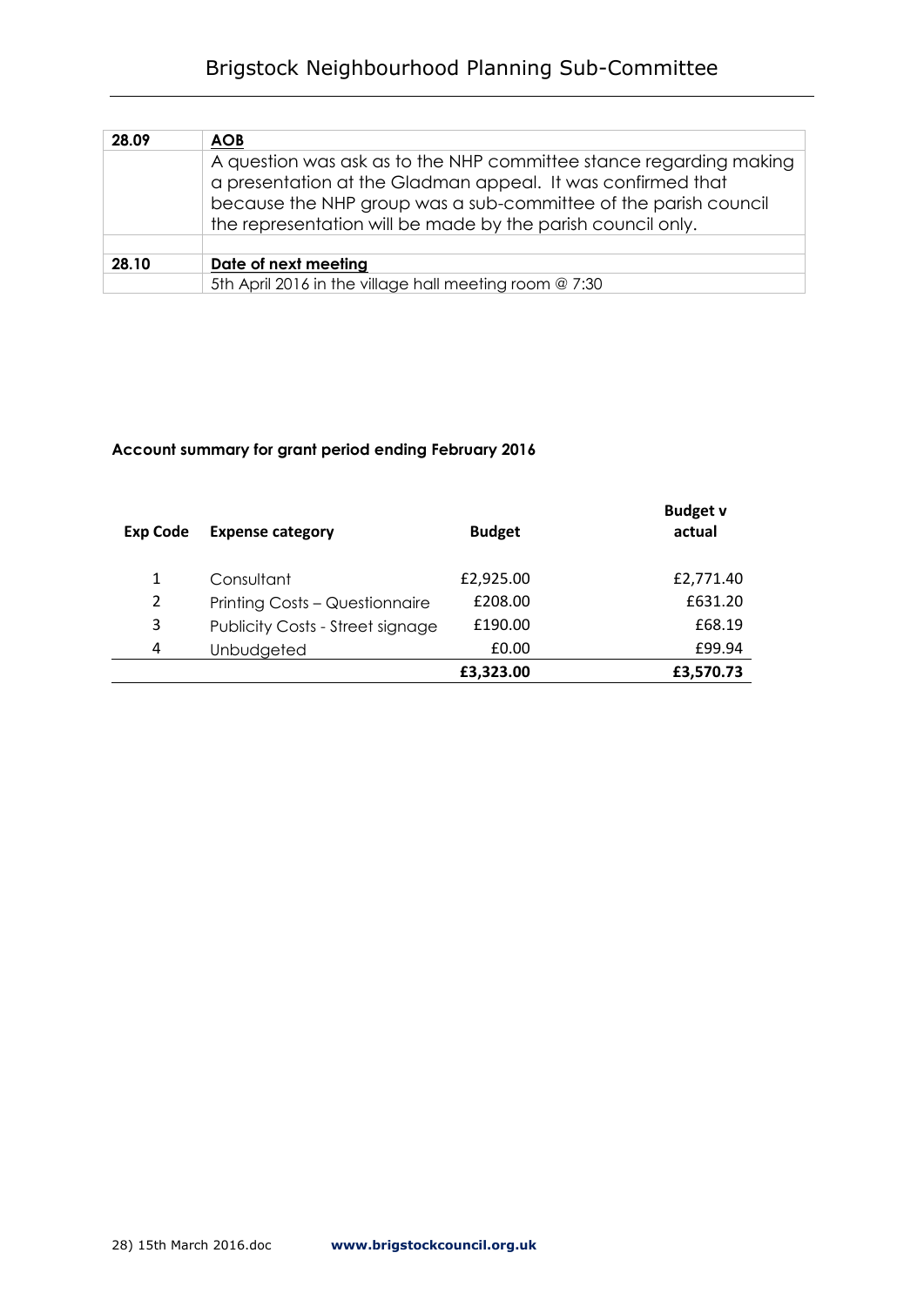## Brigstock Neighbourhood Planning Sub-Committee

| 28.09 | <b>AOB</b>                                                                                                                                                                                                                                                          |
|-------|---------------------------------------------------------------------------------------------------------------------------------------------------------------------------------------------------------------------------------------------------------------------|
|       | A question was ask as to the NHP committee stance regarding making<br>a presentation at the Gladman appeal. It was confirmed that<br>because the NHP group was a sub-committee of the parish council<br>the representation will be made by the parish council only. |
| 28.10 | Date of next meeting                                                                                                                                                                                                                                                |
|       | 5th April 2016 in the village hall meeting room @ 7:30                                                                                                                                                                                                              |

## **Account summary for grant period ending February 2016**

| <b>Exp Code</b> | <b>Expense category</b>                 | <b>Budget</b> | <b>Budget v</b><br>actual |
|-----------------|-----------------------------------------|---------------|---------------------------|
| 1               | Consultant                              | £2,925.00     | £2,771.40                 |
| $\overline{2}$  | Printing Costs - Questionnaire          | £208.00       | £631.20                   |
| 3               | <b>Publicity Costs - Street signage</b> | £190.00       | £68.19                    |
| 4               | Unbudgeted                              | £0.00         | £99.94                    |
|                 |                                         | £3,323.00     | £3,570.73                 |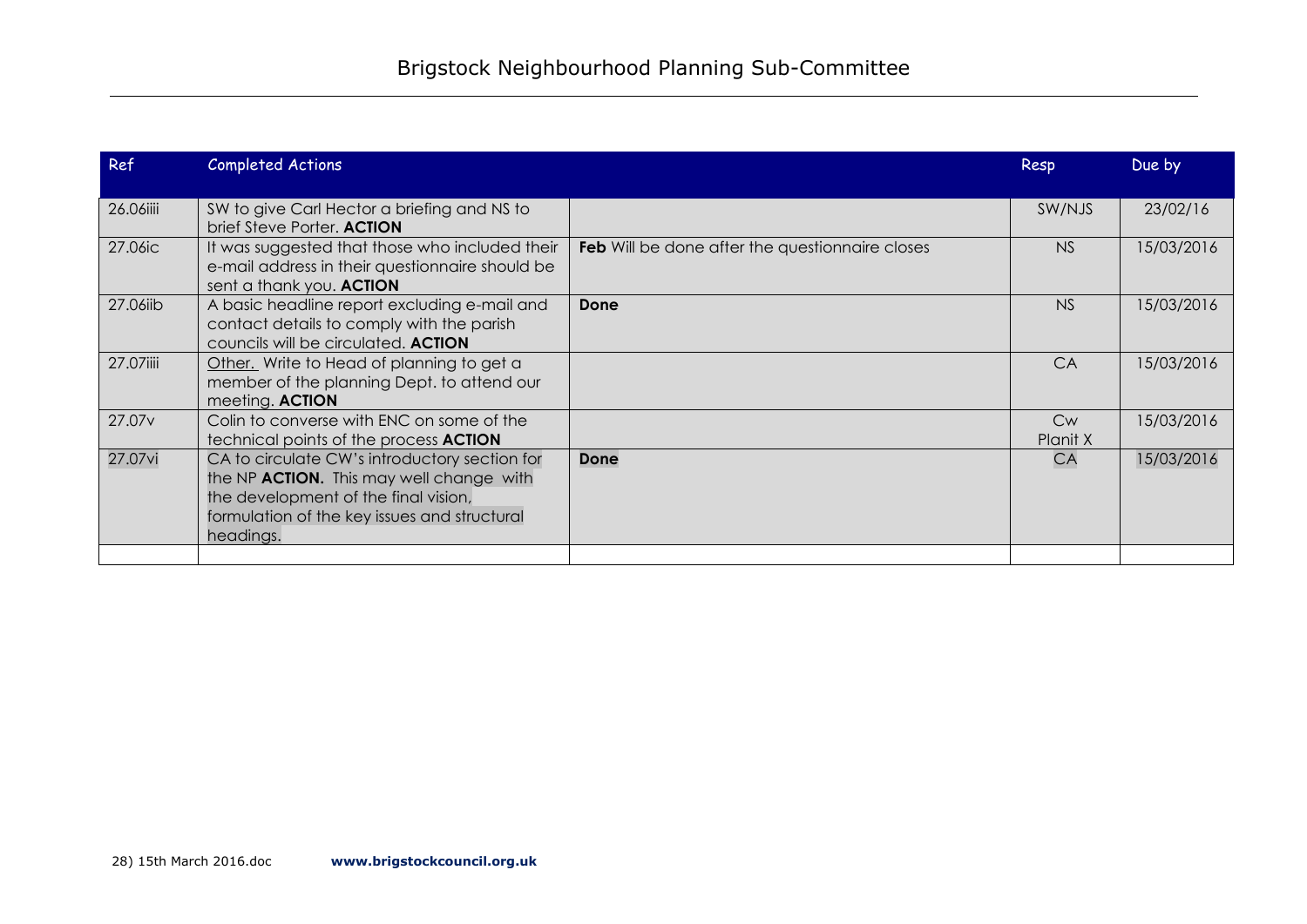| Ref                | <b>Completed Actions</b>                                                                                                                                                                       |                                                        | Resp                  | Due by     |
|--------------------|------------------------------------------------------------------------------------------------------------------------------------------------------------------------------------------------|--------------------------------------------------------|-----------------------|------------|
| 26.06iiii          | SW to give Carl Hector a briefing and NS to<br>brief Steve Porter. ACTION                                                                                                                      |                                                        | SW/NJS                | 23/02/16   |
| 27.06ic            | It was suggested that those who included their<br>e-mail address in their questionnaire should be<br>sent a thank you. ACTION                                                                  | <b>Feb</b> Will be done after the questionnaire closes | NS                    | 15/03/2016 |
| 27.06iib           | A basic headline report excluding e-mail and<br>contact details to comply with the parish<br>councils will be circulated. ACTION                                                               | Done                                                   | NS                    | 15/03/2016 |
| 27.07iiii          | Other. Write to Head of planning to get a<br>member of the planning Dept. to attend our<br>meeting. ACTION                                                                                     |                                                        | <b>CA</b>             | 15/03/2016 |
| 27.07 <sub>v</sub> | Colin to converse with ENC on some of the<br>technical points of the process <b>ACTION</b>                                                                                                     |                                                        | <b>Cw</b><br>Planit X | 15/03/2016 |
| 27.07vi            | CA to circulate CW's introductory section for<br>the NP ACTION. This may well change with<br>the development of the final vision,<br>formulation of the key issues and structural<br>headings. | Done                                                   | <b>CA</b>             | 15/03/2016 |
|                    |                                                                                                                                                                                                |                                                        |                       |            |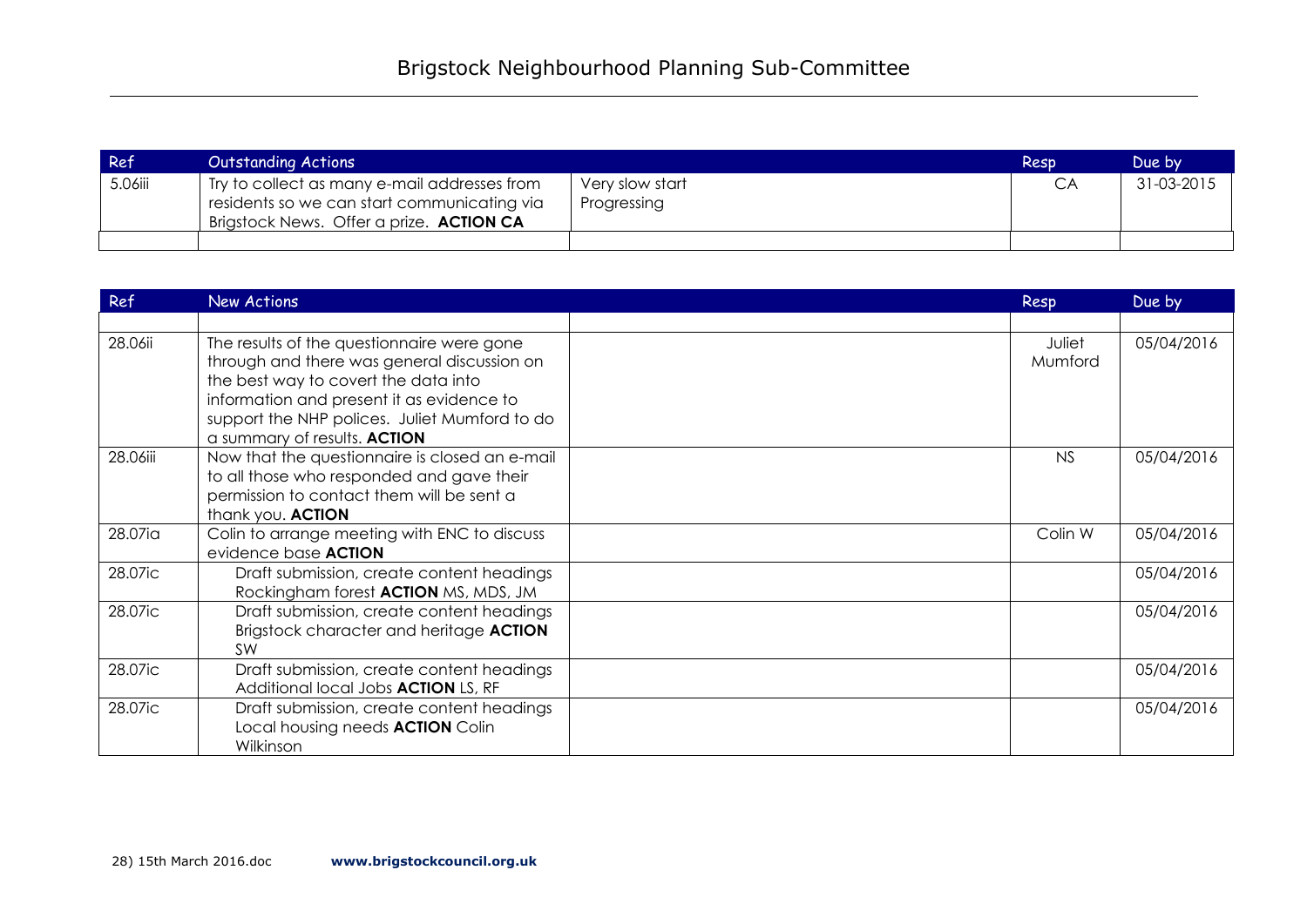| Ref     | <b>Outstanding Actions</b>                                                                                                                           |                                | Resp | Due by     |
|---------|------------------------------------------------------------------------------------------------------------------------------------------------------|--------------------------------|------|------------|
| 5.06iii | <sup>1</sup> Try to collect as many e-mail addresses from<br>residents so we can start communicating via<br>Brigstock News. Offer a prize. ACTION CA | Very slow start<br>Progressing | CA   | 31-03-2015 |
|         |                                                                                                                                                      |                                |      |            |

| Ref      | <b>New Actions</b>                                                                                                                                                                                                                                              | Resp              | Due by     |
|----------|-----------------------------------------------------------------------------------------------------------------------------------------------------------------------------------------------------------------------------------------------------------------|-------------------|------------|
|          |                                                                                                                                                                                                                                                                 |                   |            |
| 28.06ii  | The results of the questionnaire were gone<br>through and there was general discussion on<br>the best way to covert the data into<br>information and present it as evidence to<br>support the NHP polices. Juliet Mumford to do<br>a summary of results. ACTION | Juliet<br>Mumford | 05/04/2016 |
| 28.06iii | Now that the questionnaire is closed an e-mail<br>to all those who responded and gave their<br>permission to contact them will be sent a<br>thank you. ACTION                                                                                                   | <b>NS</b>         | 05/04/2016 |
| 28.07ia  | Colin to arrange meeting with ENC to discuss<br>evidence base <b>ACTION</b>                                                                                                                                                                                     | Colin W           | 05/04/2016 |
| 28.07ic  | Draft submission, create content headings<br>Rockingham forest <b>ACTION</b> MS, MDS, JM                                                                                                                                                                        |                   | 05/04/2016 |
| 28.07ic  | Draft submission, create content headings<br>Brigstock character and heritage ACTION<br><b>SW</b>                                                                                                                                                               |                   | 05/04/2016 |
| 28.07ic  | Draft submission, create content headings<br>Additional local Jobs <b>ACTION</b> LS, RF                                                                                                                                                                         |                   | 05/04/2016 |
| 28.07ic  | Draft submission, create content headings<br>Local housing needs <b>ACTION</b> Colin<br>Wilkinson                                                                                                                                                               |                   | 05/04/2016 |